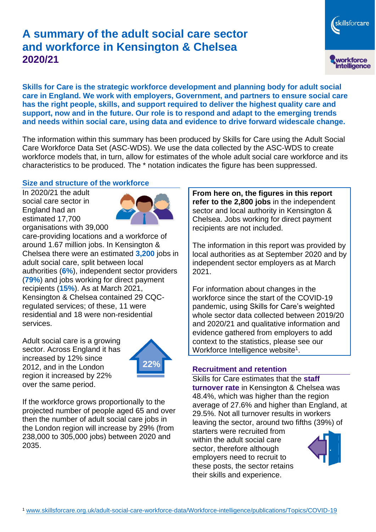# **A summary of the adult social care sector and workforce in Kensington & Chelsea 2020/21**

skillsforcare workforce<br>intelligence

**Skills for Care is the strategic workforce development and planning body for adult social care in England. We work with employers, Government, and partners to ensure social care has the right people, skills, and support required to deliver the highest quality care and support, now and in the future. Our role is to respond and adapt to the emerging trends and needs within social care, using data and evidence to drive forward widescale change.**

The information within this summary has been produced by Skills for Care using the Adult Social Care Workforce Data Set (ASC-WDS). We use the data collected by the ASC-WDS to create workforce models that, in turn, allow for estimates of the whole adult social care workforce and its characteristics to be produced. The \* notation indicates the figure has been suppressed.

#### **Size and structure of the workforce**

In 2020/21 the adult social care sector in England had an estimated 17,700 organisations with 39,000



care-providing locations and a workforce of around 1.67 million jobs. In Kensington & Chelsea there were an estimated **3,200** jobs in adult social care, split between local authorities (**6%**), independent sector providers (**79%**) and jobs working for direct payment recipients (**15%**). As at March 2021, Kensington & Chelsea contained 29 CQCregulated services; of these, 11 were residential and 18 were non-residential services.

Adult social care is a growing sector. Across England it has increased by 12% since 2012, and in the London region it increased by 22% over the same period.



If the workforce grows proportionally to the projected number of people aged 65 and over then the number of adult social care jobs in the London region will increase by 29% (from 238,000 to 305,000 jobs) between 2020 and 2035.

**From here on, the figures in this report refer to the 2,800 jobs** in the independent sector and local authority in Kensington & Chelsea. Jobs working for direct payment recipients are not included.

The information in this report was provided by local authorities as at September 2020 and by independent sector employers as at March 2021.

For information about changes in the workforce since the start of the COVID-19 pandemic, using Skills for Care's weighted whole sector data collected between 2019/20 and 2020/21 and qualitative information and evidence gathered from employers to add context to the statistics, please see our Workforce Intelligence website<sup>1</sup>.

## **Recruitment and retention**

Skills for Care estimates that the **staff turnover rate** in Kensington & Chelsea was 48.4%, which was higher than the region average of 27.6% and higher than England, at 29.5%. Not all turnover results in workers leaving the sector, around two fifths (39%) of

starters were recruited from within the adult social care sector, therefore although employers need to recruit to these posts, the sector retains their skills and experience.

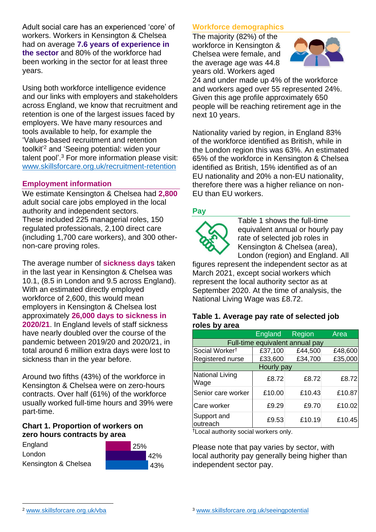Adult social care has an experienced 'core' of workers. Workers in Kensington & Chelsea had on average **7.6 years of experience in the sector** and 80% of the workforce had been working in the sector for at least three years.

Using both workforce intelligence evidence and our links with employers and stakeholders across England, we know that recruitment and retention is one of the largest issues faced by employers. We have many resources and tools available to help, for example the 'Values-based recruitment and retention toolkit'<sup>2</sup> and 'Seeing potential: widen your talent pool'. <sup>3</sup> For more information please visit: [www.skillsforcare.org.uk/recruitment-retention](http://www.skillsforcare.org.uk/recruitment-retention)

### **Employment information**

We estimate Kensington & Chelsea had **2,800** adult social care jobs employed in the local authority and independent sectors. These included 225 managerial roles, 150 regulated professionals, 2,100 direct care (including 1,700 care workers), and 300 othernon-care proving roles.

The average number of **sickness days** taken in the last year in Kensington & Chelsea was 10.1, (8.5 in London and 9.5 across England). With an estimated directly employed workforce of 2,600, this would mean employers in Kensington & Chelsea lost approximately **26,000 days to sickness in 2020/21**. In England levels of staff sickness have nearly doubled over the course of the pandemic between 2019/20 and 2020/21, in total around 6 million extra days were lost to sickness than in the year before.

Around two fifths (43%) of the workforce in Kensington & Chelsea were on zero-hours contracts. Over half (61%) of the workforce usually worked full-time hours and 39% were part-time.

#### **Chart 1. Proportion of workers on zero hours contracts by area**





## **Workforce demographics**

The majority (82%) of the workforce in Kensington & Chelsea were female, and the average age was 44.8 years old. Workers aged



24 and under made up 4% of the workforce and workers aged over 55 represented 24%. Given this age profile approximately 650 people will be reaching retirement age in the next 10 years.

Nationality varied by region, in England 83% of the workforce identified as British, while in the London region this was 63%. An estimated 65% of the workforce in Kensington & Chelsea identified as British, 15% identified as of an EU nationality and 20% a non-EU nationality, therefore there was a higher reliance on non-EU than EU workers.

## **Pay**



Table 1 shows the full-time equivalent annual or hourly pay rate of selected job roles in Kensington & Chelsea (area), London (region) and England. All

figures represent the independent sector as at March 2021, except social workers which represent the local authority sector as at September 2020. At the time of analysis, the National Living Wage was £8.72.

#### **Table 1. Average pay rate of selected job roles by area**

|                                 | England | Region  | Area    |
|---------------------------------|---------|---------|---------|
| Full-time equivalent annual pay |         |         |         |
| Social Worker <sup>t</sup>      | £37,100 | £44,500 | £48,600 |
| Registered nurse                | £33,600 | £34,700 | £35,000 |
| <b>Hourly pay</b>               |         |         |         |
| National Living<br>Wage         | £8.72   | £8.72   | £8.72   |
| Senior care worker              | £10.00  | £10.43  | £10.87  |
| Care worker                     | £9.29   | £9.70   | £10.02  |
| Support and<br>outreach         | £9.53   | £10.19  | £10.45  |

†Local authority social workers only.

Please note that pay varies by sector, with local authority pay generally being higher than independent sector pay.

[www.skillsforcare.org.uk/vba](http://www.skillsforcare.org.uk/vba)